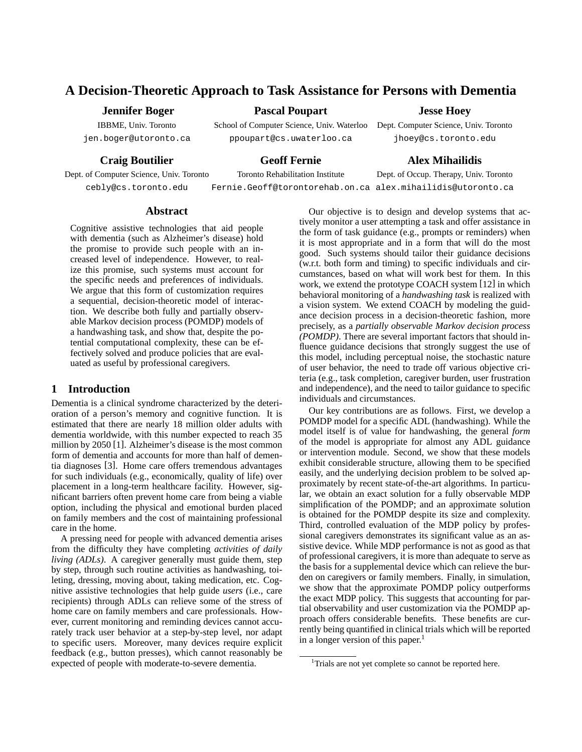## **A Decision-Theoretic Approach to Task Assistance for Persons with Dementia Pascal Poupart**

## **Jennifer Boger**

IBBME, Univ. Toronto jen.boger@utoronto.ca

**Craig Boutilier**

School of Computer Science, Univ. Waterloo ppoupart@cs.uwaterloo.ca

**Jesse Hoey**

Dept. Computer Science, Univ. Toronto jhoey@cs.toronto.edu

## **Geoff Fernie**

Dept. of Computer Science, Univ. Toronto cebly@cs.toronto.edu

Toronto Rehabilitation Institute

# **Alex Mihailidis**

Fernie.Geoff@torontorehab.on.ca alex.mihailidis@utoronto.ca Dept. of Occup. Therapy, Univ. Toronto

## **Abstract**

Cognitive assistive technologies that aid people with dementia (such as Alzheimer's disease) hold the promise to provide such people with an increased level of independence. However, to realize this promise, such systems must account for the specific needs and preferences of individuals. We argue that this form of customization requires a sequential, decision-theoretic model of interaction. We describe both fully and partially observable Markov decision process (POMDP) models of a handwashing task, and show that, despite the potential computational complexity, these can be effectively solved and produce policies that are evaluated as useful by professional caregivers.

## **1 Introduction**

Dementia is a clinical syndrome characterized by the deterioration of a person's memory and cognitive function. It is estimated that there are nearly 18 million older adults with dementia worldwide, with this number expected to reach 35 million by 2050 [1]. Alzheimer's disease is the most common form of dementia and accounts for more than half of dementia diagnoses [3]. Home care offers tremendous advantages for such individuals (e.g., economically, quality of life) over placement in a long-term healthcare facility. However, significant barriers often prevent home care from being a viable option, including the physical and emotional burden placed on family members and the cost of maintaining professional care in the home.

A pressing need for people with advanced dementia arises from the difficulty they have completing *activities of daily living (ADLs)*. A caregiver generally must guide them, step by step, through such routine activities as handwashing, toileting, dressing, moving about, taking medication, etc. Cognitive assistive technologies that help guide *users* (i.e., care recipients) through ADLs can relieve some of the stress of home care on family members and care professionals. However, current monitoring and reminding devices cannot accurately track user behavior at a step-by-step level, nor adapt to specific users. Moreover, many devices require explicit feedback (e.g., button presses), which cannot reasonably be expected of people with moderate-to-severe dementia.

Our objective is to design and develop systems that actively monitor a user attempting a task and offer assistance in the form of task guidance (e.g., prompts or reminders) when it is most appropriate and in a form that will do the most good. Such systems should tailor their guidance decisions (w.r.t. both form and timing) to specific individuals and circumstances, based on what will work best for them. In this work, we extend the prototype COACH system [12] in which behavioral monitoring of a *handwashing task* is realized with a vision system. We extend COACH by modeling the guidance decision process in a decision-theoretic fashion, more precisely, as a *partially observable Markov decision process (POMDP)*. There are several important factors that should influence guidance decisions that strongly suggest the use of this model, including perceptual noise, the stochastic nature of user behavior, the need to trade off various objective criteria (e.g., task completion, caregiver burden, user frustration and independence), and the need to tailor guidance to specific individuals and circumstances.

Our key contributions are as follows. First, we develop a POMDP model for a specific ADL (handwashing). While the model itself is of value for handwashing, the general *form* of the model is appropriate for almost any ADL guidance or intervention module. Second, we show that these models exhibit considerable structure, allowing them to be specified easily, and the underlying decision problem to be solved approximately by recent state-of-the-art algorithms. In particular, we obtain an exact solution for a fully observable MDP simplification of the POMDP; and an approximate solution is obtained for the POMDP despite its size and complexity. Third, controlled evaluation of the MDP policy by professional caregivers demonstrates its significant value as an assistive device. While MDP performance is not as good as that of professional caregivers, it is more than adequate to serve as the basis for a supplemental device which can relieve the burden on caregivers or family members. Finally, in simulation, we show that the approximate POMDP policy outperforms the exact MDP policy. This suggests that accounting for partial observability and user customization via the POMDP approach offers considerable benefits. These benefits are currently being quantified in clinical trials which will be reported in a longer version of this paper.<sup>1</sup>

<sup>&</sup>lt;sup>1</sup>Trials are not yet complete so cannot be reported here.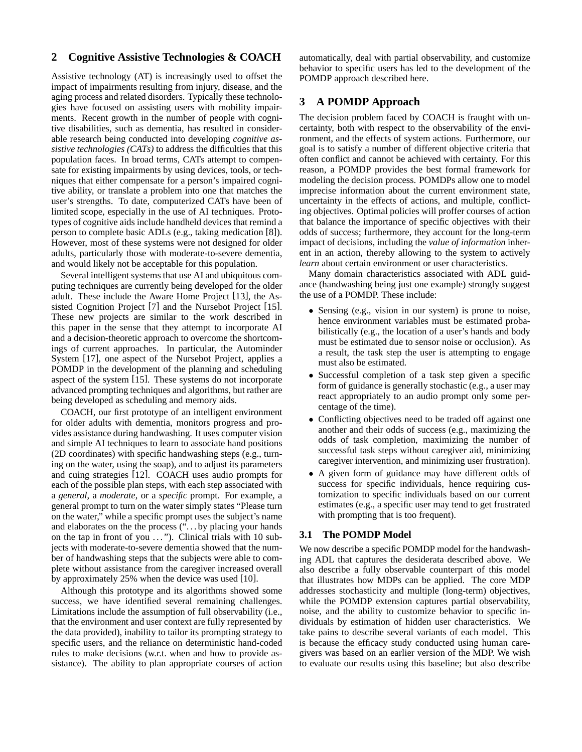## **2 Cognitive Assistive Technologies & COACH**

Assistive technology (AT) is increasingly used to offset the impact of impairments resulting from injury, disease, and the aging process and related disorders. Typically these technologies have focused on assisting users with mobility impairments. Recent growth in the number of people with cognitive disabilities, such as dementia, has resulted in considerable research being conducted into developing *cognitive assistive technologies (CATs)* to address the difficulties that this population faces. In broad terms, CATs attempt to compensate for existing impairments by using devices, tools, or techniques that either compensate for a person's impaired cognitive ability, or translate a problem into one that matches the user's strengths. To date, computerized CATs have been of limited scope, especially in the use of AI techniques. Prototypes of cognitive aids include handheld devices that remind a person to complete basic ADLs (e.g., taking medication [8]). However, most of these systems were not designed for older adults, particularly those with moderate-to-severe dementia, and would likely not be acceptable for this population.

Several intelligent systems that use AI and ubiquitous computing techniques are currently being developed for the older adult. These include the Aware Home Project [13], the Assisted Cognition Project [7] and the Nursebot Project [15]. These new projects are similar to the work described in this paper in the sense that they attempt to incorporate AI and a decision-theoretic approach to overcome the shortcomings of current approaches. In particular, the Autominder System [17], one aspect of the Nursebot Project, applies a POMDP in the development of the planning and scheduling aspect of the system [15]. These systems do not incorporate advanced prompting techniques and algorithms, but rather are being developed as scheduling and memory aids.

COACH, our first prototype of an intelligent environment for older adults with dementia, monitors progress and provides assistance during handwashing. It uses computer vision and simple AI techniques to learn to associate hand positions (2D coordinates) with specific handwashing steps (e.g., turning on the water, using the soap), and to adjust its parameters and cuing strategies [12]. COACH uses audio prompts for each of the possible plan steps, with each step associated with a *general*, a *moderate*, or a *specific* prompt. For example, a general prompt to turn on the water simply states "Please turn on the water," while a specific prompt uses the subject's name and elaborates on the the process ("... by placing your hands on the tap in front of you ..."). Clinical trials with 10 subjects with moderate-to-severe dementia showed that the number of handwashing steps that the subjects were able to complete without assistance from the caregiver increased overall by approximately 25% when the device was used [10].

Although this prototype and its algorithms showed some success, we have identified several remaining challenges. Limitations include the assumption of full observability (i.e., that the environment and user context are fully represented by the data provided), inability to tailor its prompting strategy to specific users, and the reliance on deterministic hand-coded rules to make decisions (w.r.t. when and how to provide assistance). The ability to plan appropriate courses of action automatically, deal with partial observability, and customize behavior to specific users has led to the development of the POMDP approach described here.

## **3 A POMDP Approach**

The decision problem faced by COACH is fraught with uncertainty, both with respect to the observability of the environment, and the effects of system actions. Furthermore, our goal is to satisfy a number of different objective criteria that often conflict and cannot be achieved with certainty. For this reason, a POMDP provides the best formal framework for modeling the decision process. POMDPs allow one to model imprecise information about the current environment state, uncertainty in the effects of actions, and multiple, conflicting objectives. Optimal policies will proffer courses of action that balance the importance of specific objectives with their odds of success; furthermore, they account for the long-term impact of decisions, including the *value of information* inherent in an action, thereby allowing to the system to actively *learn* about certain environment or user characteristics.

Many domain characteristics associated with ADL guidance (handwashing being just one example) strongly suggest the use of a POMDP. These include:

- Sensing (e.g., vision in our system) is prone to noise, hence environment variables must be estimated probabilistically (e.g., the location of a user's hands and body must be estimated due to sensor noise or occlusion). As a result, the task step the user is attempting to engage must also be estimated.
- Successful completion of a task step given a specific form of guidance is generally stochastic (e.g., a user may react appropriately to an audio prompt only some percentage of the time).
- Conflicting objectives need to be traded off against one another and their odds of success (e.g., maximizing the odds of task completion, maximizing the number of successful task steps without caregiver aid, minimizing caregiver intervention, and minimizing user frustration).
- A given form of guidance may have different odds of success for specific individuals, hence requiring customization to specific individuals based on our current estimates (e.g., a specific user may tend to get frustrated with prompting that is too frequent).

### **3.1 The POMDP Model**

We now describe a specific POMDP model for the handwashing ADL that captures the desiderata described above. We also describe a fully observable counterpart of this model that illustrates how MDPs can be applied. The core MDP addresses stochasticity and multiple (long-term) objectives, while the POMDP extension captures partial observability, noise, and the ability to customize behavior to specific individuals by estimation of hidden user characteristics. We take pains to describe several variants of each model. This is because the efficacy study conducted using human caregivers was based on an earlier version of the MDP. We wish to evaluate our results using this baseline; but also describe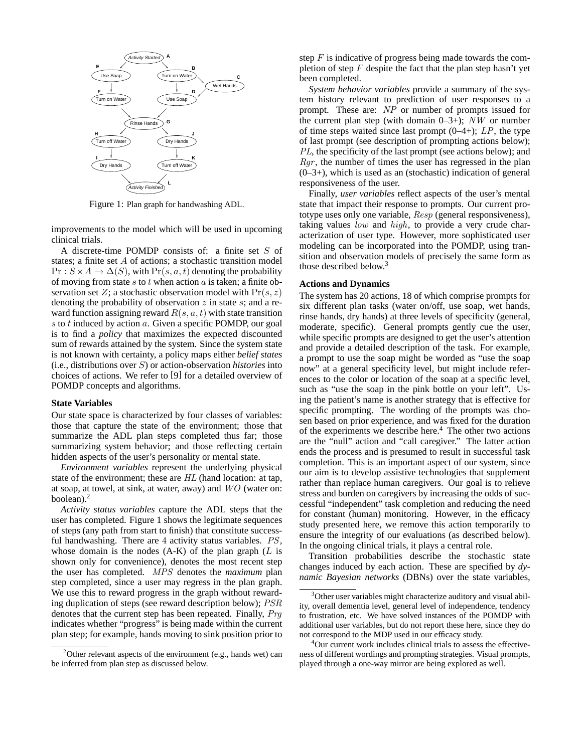

Figure 1: Plan graph for handwashing ADL.

improvements to the model which will be used in upcoming clinical trials.

A discrete-time POMDP consists of: a finite set S of states; a finite set A of actions; a stochastic transition model  $Pr: S \times A \rightarrow \Delta(S)$ , with  $Pr(s, a, t)$  denoting the probability of moving from state  $s$  to  $t$  when action  $a$  is taken; a finite observation set Z; a stochastic observation model with  $Pr(s, z)$ denoting the probability of observation  $z$  in state  $s$ ; and a reward function assigning reward  $R(s, a, t)$  with state transition  $s$  to  $t$  induced by action  $a$ . Given a specific POMDP, our goal is to find a *policy* that maximizes the expected discounted sum of rewards attained by the system. Since the system state is not known with certainty, a policy maps either *belief states* (i.e., distributions over S) or action-observation *histories* into choices of actions. We refer to [9] for a detailed overview of POMDP concepts and algorithms.

#### **State Variables**

Our state space is characterized by four classes of variables: those that capture the state of the environment; those that summarize the ADL plan steps completed thus far; those summarizing system behavior; and those reflecting certain hidden aspects of the user's personality or mental state.

*Environment variables* represent the underlying physical state of the environment; these are *HL* (hand location: at tap, at soap, at towel, at sink, at water, away) and *WO* (water on: boolean). $<sup>2</sup>$ </sup>

*Activity status variables* capture the ADL steps that the user has completed. Figure 1 shows the legitimate sequences of steps (any path from start to finish) that constitute successful handwashing. There are <sup>4</sup> activity status variables. *PS*, whose domain is the nodes  $(A-K)$  of the plan graph  $(L$  is shown only for convenience), denotes the most recent step the user has completed. *MPS* denotes the *maximum* plan step completed, since a user may regress in the plan graph. We use this to reward progress in the graph without rewarding duplication of steps (see reward description below); *PSR* denotes that the current step has been repeated. Finally, *Prg* indicates whether "progress" is being made within the current plan step; for example, hands moving to sink position prior to

step  $F$  is indicative of progress being made towards the completion of step  $F$  despite the fact that the plan step hasn't yet been completed.

*System behavior variables* provide a summary of the system history relevant to prediction of user responses to a prompt. These are: *NP* or number of prompts issued for the current plan step (with domain 0–3+); *NW* or number of time steps waited since last prompt (0–4+); *LP*, the type of last prompt (see description of prompting actions below); *PL*, the specificity of the last prompt (see actions below); and *Rgr*, the number of times the user has regressed in the plan  $(0-3+)$ , which is used as an (stochastic) indication of general responsiveness of the user.

Finally, *user variables* reflect aspects of the user's mental state that impact their response to prompts. Our current prototype uses only one variable, *Resp* (general responsiveness), taking values *low* and *high*, to provide a very crude characterization of user type. However, more sophisticated user modeling can be incorporated into the POMDP, using transition and observation models of precisely the same form as those described below.3

#### **Actions and Dynamics**

The system has 20 actions, 18 of which comprise prompts for six different plan tasks (water on/off, use soap, wet hands, rinse hands, dry hands) at three levels of specificity (general, moderate, specific). General prompts gently cue the user, while specific prompts are designed to get the user's attention and provide a detailed description of the task. For example, a prompt to use the soap might be worded as "use the soap now" at a general specificity level, but might include references to the color or location of the soap at a specific level, such as "use the soap in the pink bottle on your left". Using the patient's name is another strategy that is effective for specific prompting. The wording of the prompts was chosen based on prior experience, and was fixed for the duration of the experiments we describe here.4 The other two actions are the "null" action and "call caregiver." The latter action ends the process and is presumed to result in successful task completion. This is an important aspect of our system, since our aim is to develop assistive technologies that supplement rather than replace human caregivers. Our goal is to relieve stress and burden on caregivers by increasing the odds of successful "independent" task completion and reducing the need for constant (human) monitoring. However, in the efficacy study presented here, we remove this action temporarily to ensure the integrity of our evaluations (as described below). In the ongoing clinical trials, it plays a central role.

Transition probabilities describe the stochastic state changes induced by each action. These are specified by *dynamic Bayesian networks* (DBNs) over the state variables,

<sup>&</sup>lt;sup>2</sup> Other relevant aspects of the environment (e.g., hands wet) can be inferred from plan step as discussed below.

<sup>&</sup>lt;sup>3</sup>Other user variables might characterize auditory and visual ability, overall dementia level, general level of independence, tendency to frustration, etc. We have solved instances of the POMDP with additional user variables, but do not report these here, since they do not correspond to the MDP used in our efficacy study.

<sup>4</sup> Our current work includes clinical trials to assess the effectiveness of different wordings and prompting strategies. Visual prompts, played through a one-way mirror are being explored as well.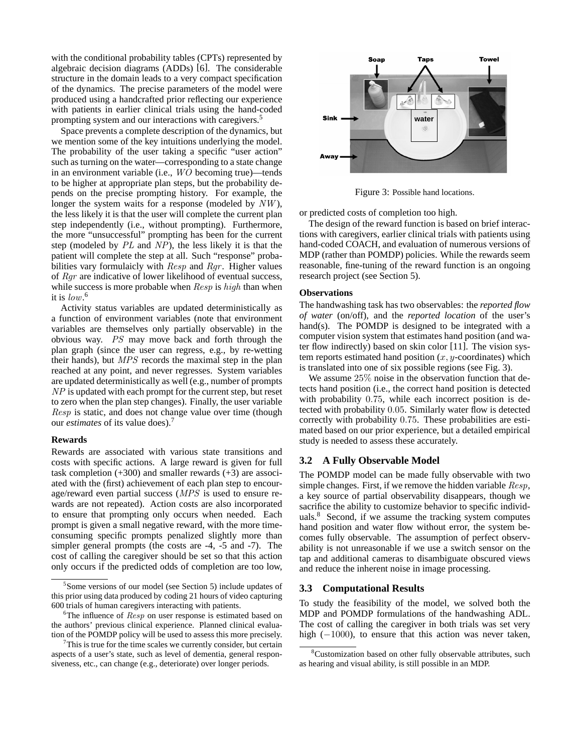with the conditional probability tables (CPTs) represented by algebraic decision diagrams (ADDs) [6]. The considerable structure in the domain leads to a very compact specification of the dynamics. The precise parameters of the model were produced using a handcrafted prior reflecting our experience with patients in earlier clinical trials using the hand-coded prompting system and our interactions with caregivers.<sup>5</sup>

Space prevents a complete description of the dynamics, but we mention some of the key intuitions underlying the model. The probability of the user taking a specific "user action" such as turning on the water—corresponding to a state change in an environment variable (i.e., *WO* becoming true)—tends to be higher at appropriate plan steps, but the probability depends on the precise prompting history. For example, the longer the system waits for a response (modeled by *NW* ), the less likely it is that the user will complete the current plan step independently (i.e., without prompting). Furthermore, the more "unsuccessful" prompting has been for the current step (modeled by *PL* and *NP*), the less likely it is that the patient will complete the step at all. Such "response" probabilities vary formulaicly with *Resp* and *Rgr* . Higher values of *Rgr* are indicative of lower likelihood of eventual success, while success is more probable when *Resp* is *high* than when it is *low*. 6

Activity status variables are updated deterministically as a function of environment variables (note that environment variables are themselves only partially observable) in the obvious way. *PS* may move back and forth through the plan graph (since the user can regress, e.g., by re-wetting their hands), but *MPS* records the maximal step in the plan reached at any point, and never regresses. System variables are updated deterministically as well (e.g., number of prompts *NP* is updated with each prompt for the current step, but reset to zero when the plan step changes). Finally, the user variable *Resp* is static, and does not change value over time (though our *estimates* of its value does).7

#### **Rewards**

Rewards are associated with various state transitions and costs with specific actions. A large reward is given for full task completion  $(+300)$  and smaller rewards  $(+3)$  are associated with the (first) achievement of each plan step to encourage/reward even partial success (*MPS* is used to ensure rewards are not repeated). Action costs are also incorporated to ensure that prompting only occurs when needed. Each prompt is given a small negative reward, with the more timeconsuming specific prompts penalized slightly more than simpler general prompts (the costs are -4, -5 and -7). The cost of calling the caregiver should be set so that this action only occurs if the predicted odds of completion are too low,



Figure 3: Possible hand locations.

or predicted costs of completion too high.

The design of the reward function is based on brief interactions with caregivers, earlier clinical trials with patients using hand-coded COACH, and evaluation of numerous versions of MDP (rather than POMDP) policies. While the rewards seem reasonable, fine-tuning of the reward function is an ongoing research project (see Section 5).

#### **Observations**

The handwashing task has two observables: the *reported flow of water* (on/off), and the *reported location* of the user's hand(s). The POMDP is designed to be integrated with a computer vision system that estimates hand position (and water flow indirectly) based on skin color [11]. The vision system reports estimated hand position  $(x, y$ -coordinates) which is translated into one of six possible regions (see Fig. 3).

We assume  $25\%$  noise in the observation function that detects hand position (i.e., the correct hand position is detected with probability 0.75, while each incorrect position is detected with probability 0.05. Similarly water flow is detected correctly with probability 0.75. These probabilities are estimated based on our prior experience, but a detailed empirical study is needed to assess these accurately.

#### **3.2 A Fully Observable Model**

The POMDP model can be made fully observable with two simple changes. First, if we remove the hidden variable *Resp*, a key source of partial observability disappears, though we sacrifice the ability to customize behavior to specific individuals.8 Second, if we assume the tracking system computes hand position and water flow without error, the system becomes fully observable. The assumption of perfect observability is not unreasonable if we use a switch sensor on the tap and additional cameras to disambiguate obscured views and reduce the inherent noise in image processing.

#### **3.3 Computational Results**

To study the feasibility of the model, we solved both the MDP and POMDP formulations of the handwashing ADL. The cost of calling the caregiver in both trials was set very high  $(-1000)$ , to ensure that this action was never taken,

<sup>5</sup> Some versions of our model (see Section 5) include updates of this prior using data produced by coding 21 hours of video capturing 600 trials of human caregivers interacting with patients.

 $6$ The influence of  $Resp$  on user response is estimated based on the authors' previous clinical experience. Planned clinical evaluation of the POMDP policy will be used to assess this more precisely.

 $7$ This is true for the time scales we currently consider, but certain aspects of a user's state, such as level of dementia, general responsiveness, etc., can change (e.g., deteriorate) over longer periods.

<sup>&</sup>lt;sup>8</sup>Customization based on other fully observable attributes, such as hearing and visual ability, is still possible in an MDP.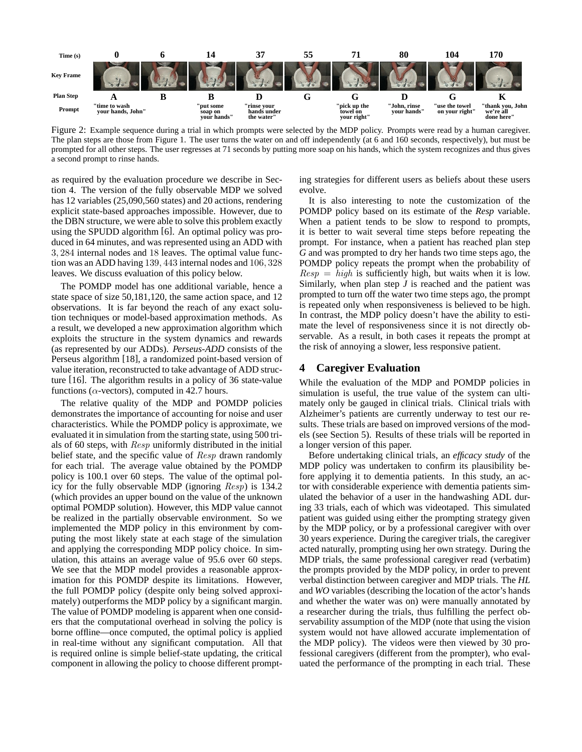

Figure 2: Example sequence during a trial in which prompts were selected by the MDP policy. Prompts were read by a human caregiver. The plan steps are those from Figure 1. The user turns the water on and off independently (at 6 and 160 seconds, respectively), but must be prompted for all other steps. The user regresses at 71 seconds by putting more soap on his hands, which the system recognizes and thus gives a second prompt to rinse hands.

as required by the evaluation procedure we describe in Section 4. The version of the fully observable MDP we solved has 12 variables (25,090,560 states) and 20 actions, rendering explicit state-based approaches impossible. However, due to the DBN structure, we were able to solve this problem exactly using the SPUDD algorithm [6]. An optimal policy was produced in 64 minutes, and was represented using an ADD with 3, 284 internal nodes and 18 leaves. The optimal value function was an ADD having 139, 443 internal nodes and 106, 328 leaves. We discuss evaluation of this policy below.

The POMDP model has one additional variable, hence a state space of size 50,181,120, the same action space, and 12 observations. It is far beyond the reach of any exact solution techniques or model-based approximation methods. As a result, we developed a new approximation algorithm which exploits the structure in the system dynamics and rewards (as represented by our ADDs). *Perseus-ADD* consists of the Perseus algorithm [18], a randomized point-based version of value iteration, reconstructed to take advantage of ADD structure [16]. The algorithm results in a policy of 36 state-value functions ( $\alpha$ -vectors), computed in 42.7 hours.

The relative quality of the MDP and POMDP policies demonstrates the importance of accounting for noise and user characteristics. While the POMDP policy is approximate, we evaluated it in simulation from the starting state, using 500 trials of 60 steps, with *Resp* uniformly distributed in the initial belief state, and the specific value of *Resp* drawn randomly for each trial. The average value obtained by the POMDP policy is 100.1 over 60 steps. The value of the optimal policy for the fully observable MDP (ignoring *Resp*) is 134.2 (which provides an upper bound on the value of the unknown optimal POMDP solution). However, this MDP value cannot be realized in the partially observable environment. So we implemented the MDP policy in this environment by computing the most likely state at each stage of the simulation and applying the corresponding MDP policy choice. In simulation, this attains an average value of 95.6 over 60 steps. We see that the MDP model provides a reasonable approximation for this POMDP despite its limitations. However, the full POMDP policy (despite only being solved approximately) outperforms the MDP policy by a significant margin. The value of POMDP modeling is apparent when one considers that the computational overhead in solving the policy is borne offline—once computed, the optimal policy is applied in real-time without any significant computation. All that is required online is simple belief-state updating, the critical component in allowing the policy to choose different prompting strategies for different users as beliefs about these users evolve.

It is also interesting to note the customization of the POMDP policy based on its estimate of the *Resp* variable. When a patient tends to be slow to respond to prompts, it is better to wait several time steps before repeating the prompt. For instance, when a patient has reached plan step *G* and was prompted to dry her hands two time steps ago, the POMDP policy repeats the prompt when the probability of  $Resp = high$  is sufficiently high, but waits when it is low. Similarly, when plan step *J* is reached and the patient was prompted to turn off the water two time steps ago, the prompt is repeated only when responsiveness is believed to be high. In contrast, the MDP policy doesn't have the ability to estimate the level of responsiveness since it is not directly observable. As a result, in both cases it repeats the prompt at the risk of annoying a slower, less responsive patient.

## **4 Caregiver Evaluation**

While the evaluation of the MDP and POMDP policies in simulation is useful, the true value of the system can ultimately only be gauged in clinical trials. Clinical trials with Alzheimer's patients are currently underway to test our results. These trials are based on improved versions of the models (see Section 5). Results of these trials will be reported in a longer version of this paper.

Before undertaking clinical trials, an *efficacy study* of the MDP policy was undertaken to confirm its plausibility before applying it to dementia patients. In this study, an actor with considerable experience with dementia patients simulated the behavior of a user in the handwashing ADL during 33 trials, each of which was videotaped. This simulated patient was guided using either the prompting strategy given by the MDP policy, or by a professional caregiver with over 30 years experience. During the caregiver trials, the caregiver acted naturally, prompting using her own strategy. During the MDP trials, the same professional caregiver read (verbatim) the prompts provided by the MDP policy, in order to prevent verbal distinction between caregiver and MDP trials. The *HL* and *WO* variables (describing the location of the actor's hands and whether the water was on) were manually annotated by a researcher during the trials, thus fulfilling the perfect observability assumption of the MDP (note that using the vision system would not have allowed accurate implementation of the MDP policy). The videos were then viewed by 30 professional caregivers (different from the prompter), who evaluated the performance of the prompting in each trial. These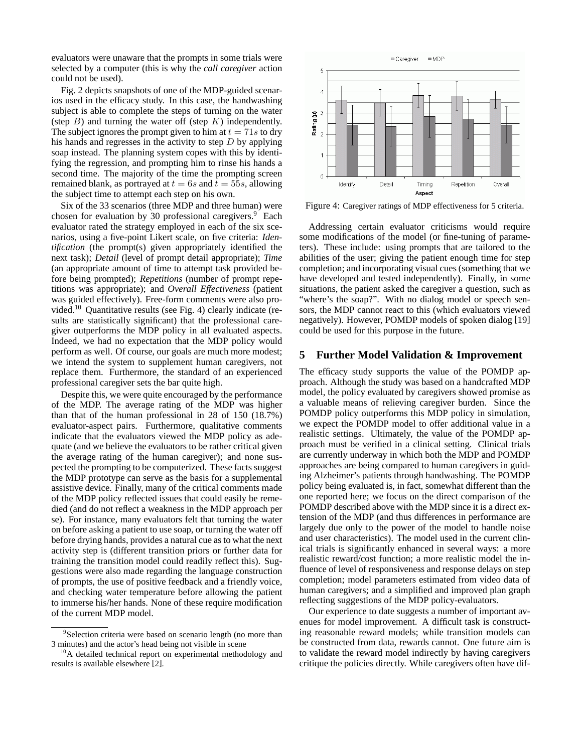evaluators were unaware that the prompts in some trials were selected by a computer (this is why the *call caregiver* action could not be used).

Fig. 2 depicts snapshots of one of the MDP-guided scenarios used in the efficacy study. In this case, the handwashing subject is able to complete the steps of turning on the water (step  $B$ ) and turning the water off (step  $K$ ) independently. The subject ignores the prompt given to him at  $t = 71s$  to dry his hands and regresses in the activity to step  $D$  by applying soap instead. The planning system copes with this by identifying the regression, and prompting him to rinse his hands a second time. The majority of the time the prompting screen remained blank, as portrayed at  $t = 6s$  and  $t = 55s$ , allowing the subject time to attempt each step on his own.

Six of the 33 scenarios (three MDP and three human) were chosen for evaluation by 30 professional caregivers.<sup>9</sup> Each evaluator rated the strategy employed in each of the six scenarios, using a five-point Likert scale, on five criteria: *Identification* (the prompt(s) given appropriately identified the next task); *Detail* (level of prompt detail appropriate); *Time* (an appropriate amount of time to attempt task provided before being prompted); *Repetitions* (number of prompt repetitions was appropriate); and *Overall Effectiveness* (patient was guided effectively). Free-form comments were also provided.10 Quantitative results (see Fig. 4) clearly indicate (results are statistically significant) that the professional caregiver outperforms the MDP policy in all evaluated aspects. Indeed, we had no expectation that the MDP policy would perform as well. Of course, our goals are much more modest; we intend the system to supplement human caregivers, not replace them. Furthermore, the standard of an experienced professional caregiver sets the bar quite high.

Despite this, we were quite encouraged by the performance of the MDP. The average rating of the MDP was higher than that of the human professional in 28 of 150 (18.7%) evaluator-aspect pairs. Furthermore, qualitative comments indicate that the evaluators viewed the MDP policy as adequate (and we believe the evaluators to be rather critical given the average rating of the human caregiver); and none suspected the prompting to be computerized. These facts suggest the MDP prototype can serve as the basis for a supplemental assistive device. Finally, many of the critical comments made of the MDP policy reflected issues that could easily be remedied (and do not reflect a weakness in the MDP approach per se). For instance, many evaluators felt that turning the water on before asking a patient to use soap, or turning the water off before drying hands, provides a natural cue as to what the next activity step is (different transition priors or further data for training the transition model could readily reflect this). Suggestions were also made regarding the language construction of prompts, the use of positive feedback and a friendly voice, and checking water temperature before allowing the patient to immerse his/her hands. None of these require modification of the current MDP model.



Figure 4: Caregiver ratings of MDP effectiveness for 5 criteria.

Addressing certain evaluator criticisms would require some modifications of the model (or fine-tuning of parameters). These include: using prompts that are tailored to the abilities of the user; giving the patient enough time for step completion; and incorporating visual cues (something that we have developed and tested independently). Finally, in some situations, the patient asked the caregiver a question, such as "where's the soap?". With no dialog model or speech sensors, the MDP cannot react to this (which evaluators viewed negatively). However, POMDP models of spoken dialog [19] could be used for this purpose in the future.

## **5 Further Model Validation & Improvement**

The efficacy study supports the value of the POMDP approach. Although the study was based on a handcrafted MDP model, the policy evaluated by caregivers showed promise as a valuable means of relieving caregiver burden. Since the POMDP policy outperforms this MDP policy in simulation, we expect the POMDP model to offer additional value in a realistic settings. Ultimately, the value of the POMDP approach must be verified in a clinical setting. Clinical trials are currently underway in which both the MDP and POMDP approaches are being compared to human caregivers in guiding Alzheimer's patients through handwashing. The POMDP policy being evaluated is, in fact, somewhat different than the one reported here; we focus on the direct comparison of the POMDP described above with the MDP since it is a direct extension of the MDP (and thus differences in performance are largely due only to the power of the model to handle noise and user characteristics). The model used in the current clinical trials is significantly enhanced in several ways: a more realistic reward/cost function; a more realistic model the influence of level of responsiveness and response delays on step completion; model parameters estimated from video data of human caregivers; and a simplified and improved plan graph reflecting suggestions of the MDP policy-evaluators.

Our experience to date suggests a number of important avenues for model improvement. A difficult task is constructing reasonable reward models; while transition models can be constructed from data, rewards cannot. One future aim is to validate the reward model indirectly by having caregivers critique the policies directly. While caregivers often have dif-

<sup>&</sup>lt;sup>9</sup>Selection criteria were based on scenario length (no more than 3 minutes) and the actor's head being not visible in scene

<sup>&</sup>lt;sup>10</sup>A detailed technical report on experimental methodology and results is available elsewhere [2].